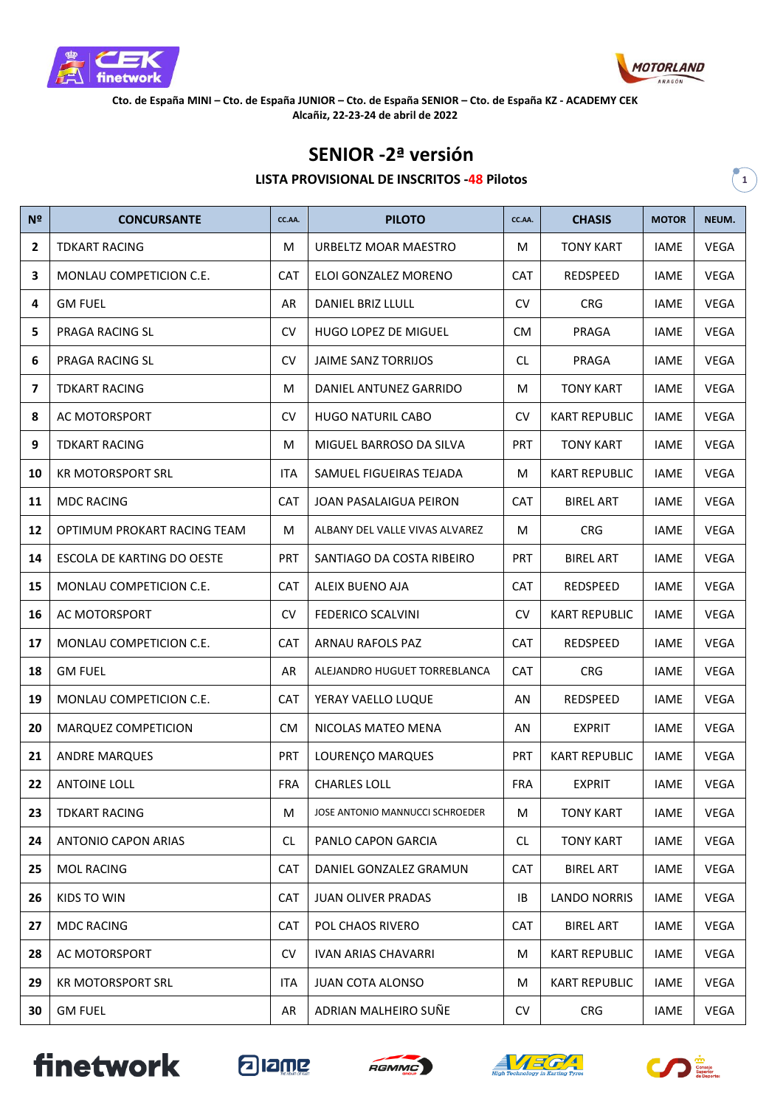



**Cto. de España MINI – Cto. de España JUNIOR – Cto. de España SENIOR – Cto. de España KZ - ACADEMY CEK Alcañiz, 22-23-24 de abril de 2022**

## **SENIOR -2ª versión**

## **LISTA PROVISIONAL DE INSCRITOS -48 Pilotos 1**

| Nº           | <b>CONCURSANTE</b>          | CC.AA.     | <b>PILOTO</b>                   | CC.AA.     | <b>CHASIS</b>        | <b>MOTOR</b> | NEUM.       |
|--------------|-----------------------------|------------|---------------------------------|------------|----------------------|--------------|-------------|
| $\mathbf{2}$ | <b>TDKART RACING</b>        | M          | URBELTZ MOAR MAESTRO            | M          | <b>TONY KART</b>     | <b>IAME</b>  | <b>VEGA</b> |
| з            | MONLAU COMPETICION C.E.     | <b>CAT</b> | ELOI GONZALEZ MORENO            | <b>CAT</b> | <b>REDSPEED</b>      | <b>IAME</b>  | <b>VEGA</b> |
| 4            | <b>GM FUEL</b>              | AR         | DANIEL BRIZ LLULL               | <b>CV</b>  | <b>CRG</b>           | <b>IAME</b>  | <b>VEGA</b> |
| 5            | PRAGA RACING SL             | <b>CV</b>  | <b>HUGO LOPEZ DE MIGUEL</b>     | <b>CM</b>  | PRAGA                | <b>IAME</b>  | <b>VEGA</b> |
| 6            | PRAGA RACING SL             | <b>CV</b>  | <b>JAIME SANZ TORRIJOS</b>      | <b>CL</b>  | PRAGA                | <b>IAME</b>  | <b>VEGA</b> |
| 7            | <b>TDKART RACING</b>        | М          | DANIEL ANTUNEZ GARRIDO          | M          | <b>TONY KART</b>     | <b>IAME</b>  | <b>VEGA</b> |
| 8            | AC MOTORSPORT               | <b>CV</b>  | <b>HUGO NATURIL CABO</b>        | <b>CV</b>  | <b>KART REPUBLIC</b> | <b>IAME</b>  | <b>VEGA</b> |
| 9            | <b>TDKART RACING</b>        | M          | MIGUEL BARROSO DA SILVA         | <b>PRT</b> | <b>TONY KART</b>     | <b>IAME</b>  | <b>VEGA</b> |
| 10           | <b>KR MOTORSPORT SRL</b>    | <b>ITA</b> | SAMUEL FIGUEIRAS TEJADA         | M          | <b>KART REPUBLIC</b> | <b>IAME</b>  | <b>VEGA</b> |
| 11           | <b>MDC RACING</b>           | <b>CAT</b> | JOAN PASALAIGUA PEIRON          | <b>CAT</b> | <b>BIREL ART</b>     | <b>IAME</b>  | <b>VEGA</b> |
| 12           | OPTIMUM PROKART RACING TEAM | М          | ALBANY DEL VALLE VIVAS ALVAREZ  | M          | <b>CRG</b>           | <b>IAME</b>  | <b>VEGA</b> |
| 14           | ESCOLA DE KARTING DO OESTE  | <b>PRT</b> | SANTIAGO DA COSTA RIBEIRO       | <b>PRT</b> | <b>BIREL ART</b>     | <b>IAME</b>  | <b>VEGA</b> |
| 15           | MONLAU COMPETICION C.E.     | <b>CAT</b> | ALEIX BUENO AJA                 | <b>CAT</b> | REDSPEED             | <b>IAME</b>  | <b>VEGA</b> |
| 16           | AC MOTORSPORT               | <b>CV</b>  | <b>FEDERICO SCALVINI</b>        | <b>CV</b>  | <b>KART REPUBLIC</b> | <b>IAME</b>  | <b>VEGA</b> |
| 17           | MONLAU COMPETICION C.E.     | <b>CAT</b> | ARNAU RAFOLS PAZ                | <b>CAT</b> | REDSPEED             | <b>IAME</b>  | <b>VEGA</b> |
| 18           | <b>GM FUEL</b>              | AR         | ALEJANDRO HUGUET TORREBLANCA    | CAT        | <b>CRG</b>           | <b>IAME</b>  | <b>VEGA</b> |
| 19           | MONLAU COMPETICION C.E.     | <b>CAT</b> | YERAY VAELLO LUQUE              | AN         | REDSPEED             | <b>IAME</b>  | <b>VEGA</b> |
| 20           | MARQUEZ COMPETICION         | <b>CM</b>  | NICOLAS MATEO MENA              | AN         | <b>EXPRIT</b>        | <b>IAME</b>  | <b>VEGA</b> |
| 21           | <b>ANDRE MARQUES</b>        | <b>PRT</b> | LOURENÇO MARQUES                | <b>PRT</b> | <b>KART REPUBLIC</b> | <b>IAME</b>  | <b>VEGA</b> |
| 22           | <b>ANTOINE LOLL</b>         | <b>FRA</b> | <b>CHARLES LOLL</b>             | <b>FRA</b> | <b>EXPRIT</b>        | <b>IAME</b>  | <b>VEGA</b> |
| 23           | <b>TDKART RACING</b>        | M          | JOSE ANTONIO MANNUCCI SCHROEDER | M          | <b>TONY KART</b>     | <b>IAME</b>  | <b>VEGA</b> |
| 24           | <b>ANTONIO CAPON ARIAS</b>  | <b>CL</b>  | PANLO CAPON GARCIA              | <b>CL</b>  | <b>TONY KART</b>     | IAME         | VEGA        |
| 25           | <b>MOL RACING</b>           | <b>CAT</b> | DANIEL GONZALEZ GRAMUN          | <b>CAT</b> | <b>BIREL ART</b>     | IAME         | <b>VEGA</b> |
| 26           | KIDS TO WIN                 | <b>CAT</b> | <b>JUAN OLIVER PRADAS</b>       | IB         | <b>LANDO NORRIS</b>  | IAME         | VEGA        |
| 27           | <b>MDC RACING</b>           | CAT        | POL CHAOS RIVERO                | <b>CAT</b> | <b>BIREL ART</b>     | IAME         | VEGA        |
| 28           | AC MOTORSPORT               | <b>CV</b>  | <b>IVAN ARIAS CHAVARRI</b>      | М          | <b>KART REPUBLIC</b> | IAME         | <b>VEGA</b> |
| 29           | <b>KR MOTORSPORT SRL</b>    | <b>ITA</b> | <b>JUAN COTA ALONSO</b>         | M          | <b>KART REPUBLIC</b> | IAME         | <b>VEGA</b> |
| 30           | <b>GM FUEL</b>              | AR         | ADRIAN MALHEIRO SUÑE            | CV         | CRG                  | IAME         | VEGA        |